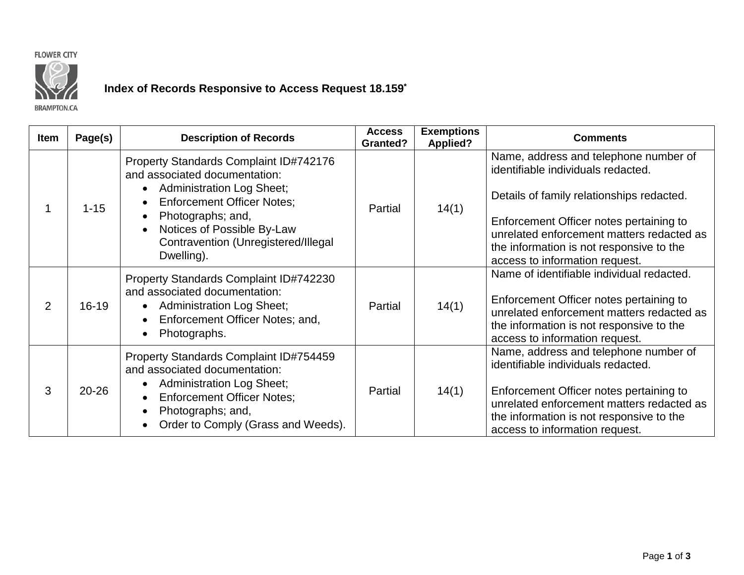



## **Index of Records Responsive to Access Request 18.159\***

**BRAMPTON.CA** 

| <b>Item</b> | Page(s)   | <b>Description of Records</b>                                                                                                                                                                                                                            | <b>Access</b><br><b>Granted?</b> | <b>Exemptions</b><br><b>Applied?</b> | <b>Comments</b>                                                                                                                                                                                                                                                                                |
|-------------|-----------|----------------------------------------------------------------------------------------------------------------------------------------------------------------------------------------------------------------------------------------------------------|----------------------------------|--------------------------------------|------------------------------------------------------------------------------------------------------------------------------------------------------------------------------------------------------------------------------------------------------------------------------------------------|
|             | $1 - 15$  | Property Standards Complaint ID#742176<br>and associated documentation:<br><b>Administration Log Sheet;</b><br><b>Enforcement Officer Notes;</b><br>Photographs; and,<br>Notices of Possible By-Law<br>Contravention (Unregistered/Illegal<br>Dwelling). | Partial                          | 14(1)                                | Name, address and telephone number of<br>identifiable individuals redacted.<br>Details of family relationships redacted.<br>Enforcement Officer notes pertaining to<br>unrelated enforcement matters redacted as<br>the information is not responsive to the<br>access to information request. |
| 2           | $16 - 19$ | Property Standards Complaint ID#742230<br>and associated documentation:<br><b>Administration Log Sheet;</b><br>$\bullet$<br>Enforcement Officer Notes; and,<br>Photographs.                                                                              | Partial                          | 14(1)                                | Name of identifiable individual redacted.<br>Enforcement Officer notes pertaining to<br>unrelated enforcement matters redacted as<br>the information is not responsive to the<br>access to information request.                                                                                |
| 3           | $20 - 26$ | Property Standards Complaint ID#754459<br>and associated documentation:<br><b>Administration Log Sheet;</b><br><b>Enforcement Officer Notes;</b><br>$\bullet$<br>Photographs; and,<br>Order to Comply (Grass and Weeds).                                 | Partial                          | 14(1)                                | Name, address and telephone number of<br>identifiable individuals redacted.<br>Enforcement Officer notes pertaining to<br>unrelated enforcement matters redacted as<br>the information is not responsive to the<br>access to information request.                                              |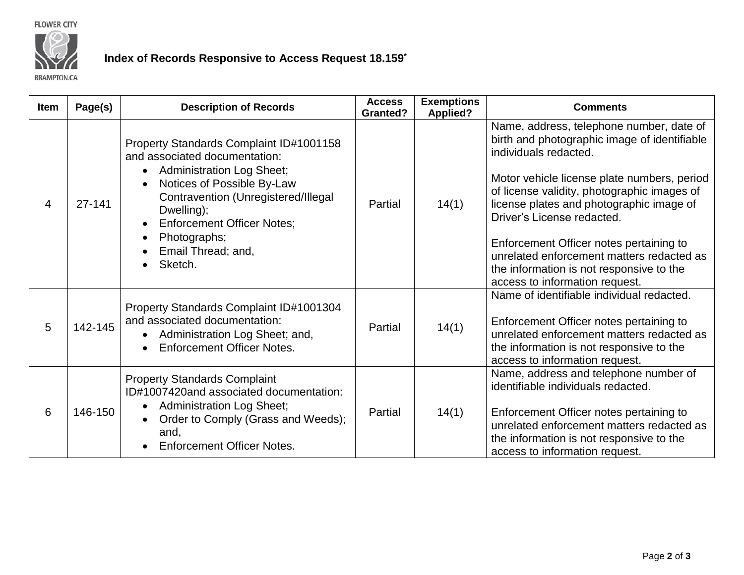**FLOWER CITY** 



## **Index of Records Responsive to Access Request 18.159\***

**BRAMPTON.CA** 

| <b>Item</b> | Page(s) | <b>Description of Records</b>                                                                                                                                                                                                                                                         | <b>Access</b><br><b>Granted?</b> | <b>Exemptions</b><br><b>Applied?</b> | <b>Comments</b>                                                                                                                                                                                                                                                                                                                                                                                                                                                 |
|-------------|---------|---------------------------------------------------------------------------------------------------------------------------------------------------------------------------------------------------------------------------------------------------------------------------------------|----------------------------------|--------------------------------------|-----------------------------------------------------------------------------------------------------------------------------------------------------------------------------------------------------------------------------------------------------------------------------------------------------------------------------------------------------------------------------------------------------------------------------------------------------------------|
| 4           | 27-141  | Property Standards Complaint ID#1001158<br>and associated documentation:<br><b>Administration Log Sheet;</b><br>Notices of Possible By-Law<br>Contravention (Unregistered/Illegal<br>Dwelling);<br><b>Enforcement Officer Notes;</b><br>Photographs;<br>Email Thread; and,<br>Sketch. | Partial                          | 14(1)                                | Name, address, telephone number, date of<br>birth and photographic image of identifiable<br>individuals redacted.<br>Motor vehicle license plate numbers, period<br>of license validity, photographic images of<br>license plates and photographic image of<br>Driver's License redacted.<br>Enforcement Officer notes pertaining to<br>unrelated enforcement matters redacted as<br>the information is not responsive to the<br>access to information request. |
| 5           | 142-145 | Property Standards Complaint ID#1001304<br>and associated documentation:<br>Administration Log Sheet; and,<br><b>Enforcement Officer Notes.</b>                                                                                                                                       | Partial                          | 14(1)                                | Name of identifiable individual redacted.<br>Enforcement Officer notes pertaining to<br>unrelated enforcement matters redacted as<br>the information is not responsive to the<br>access to information request.                                                                                                                                                                                                                                                 |
| 6           | 146-150 | <b>Property Standards Complaint</b><br>ID#1007420and associated documentation:<br><b>Administration Log Sheet;</b><br>Order to Comply (Grass and Weeds);<br>$\bullet$<br>and,<br><b>Enforcement Officer Notes.</b>                                                                    | Partial                          | 14(1)                                | Name, address and telephone number of<br>identifiable individuals redacted.<br>Enforcement Officer notes pertaining to<br>unrelated enforcement matters redacted as<br>the information is not responsive to the<br>access to information request.                                                                                                                                                                                                               |